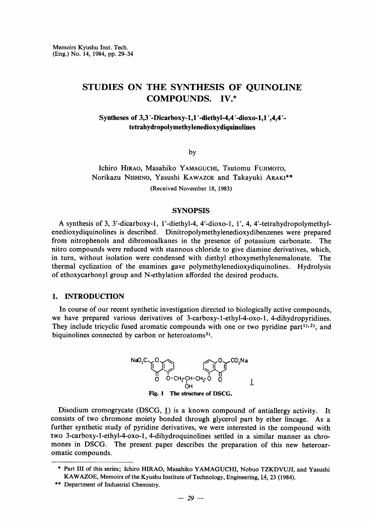Memoirs Kyushu Inst. Tech. (Eng.) No. 14, 1984, pp. 29-34

# STUDIES ON THE SYNTHESIS OF QUINOLINE COMPOUNDS. IV.\*

### Syntheses of 3,3 '-Dicarboxy-1,1 '-diethyl-4,4 '-dioxo-1,1 ',4,4 '-• tetrahydropolymethylenedioxydiquinolines

by

## Ichiro HIRAO, Masahiko YAMAGUCHI, Tsutomu FUJIMOTO, Norikazu Nishino, Yasushi KAWAZOE and Takayuki ARAKI\*\* (Received November 18, 1983)

#### **SYNOPSIS**

 A synthesis of 3, 3'-dicarboxy-1, 1'-diethyl-4, 4'-dioxo-1, 1', 4, 4'-tetrahydropolymethylenedioxydiquinolines is described. Dinitropolymethylenedioxydibenzenes were prepared from nitrophenols and dibromoalkanes in the presence of potassium carbonate. The nitro compounds were reduced with stannous chloride to give diamine derivatives, which, in turn, without isolation were condensed with diethyl ethoxymethylenemalonate. The thermal cyclization of the enamines gave polymethylenedioxydiquinolines. Hydrolysis of ethoxycarbonyl group and N-ethylation afforded the desired products.

#### 1. INTRODUCTION

 In course of our recent synthetic investigation directed to biologically active compounds, we have prepared various derivatives of 3-carboxy-1-ethyl-4-oxo-1, 4-dihydropyridines. They include tricyclic fused aromatic compounds with one or two pyridine part<sup>1),2)</sup>, and biquinolines connected by carbon or heteroatoms<sup>3)</sup>.



Disodium cromogrycate (DSCG, I) is a known compound of antiallergy activity. It consists of two chromone moiety bonded through glycerol part by ether lincage. As a further synthetic study of pyridine derivatives, we were interested in the compound with 'two 3-carboxy-1-ethyl-4-oxo-1, 4-dihydroquinolines settled in a similar manner as chromones in DSCG. The present paper describes the preparation of this new heteroaromatic compounds.

\*\* Department of Industrial Chemistry.

<sup>&</sup>quot; Part III of this series; Ichiro HIRAO, Masahiko YAMAGUCHI, Nobuo TZKDVUJI, and Yasushi KAWAZOE, Memoirs of the Kyushu Institute of Technology, Engineering, 14, 23 (1984).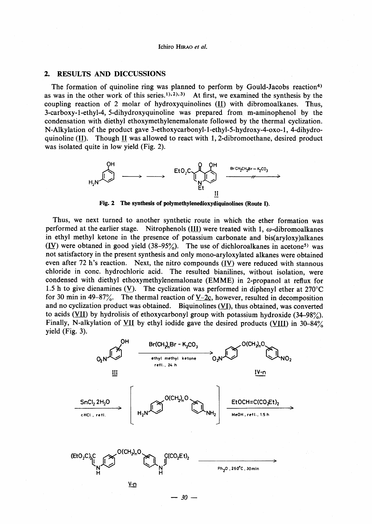#### Ichiro HiRAo et al.

#### 2. RESULTS AND DICCUSSIONS

The formation of quinoline ring was planned to perform by Gould-Jacobs reaction<sup>4)</sup> as was in the other work of this series.<sup>1),2),3)</sup> At first, we examined the synthesis by the coupling reaction of 2 molar of hydroxyquinolines  $(II)$  with dibromoalkanes. Thus, 3-carboxy-1-ethyl-4, 5-dihydroxyquinoline was prepared from m-aminophenol by the condensation with diethyl ethoxymethylenemalonate followed by the thermal cyclization. N-Alkylation of the product gave 3-ethoxycarbonyl-1-ethyl-5-hydroxy-4-oxo-1, 4-dihydroquinoline (II). Though II was allowed to react with 1, 2-dibromoethane, desired product was isolated quite in low yield (Fig. 2).



Fig. 2 The synthesis of polymethylenedioxydiquinolines (Route D.

 Thus, we next turned to another synthetic route in which the ether formation was performed at the earlier stage. Nitrophenols (III) were treated with 1,  $\omega$ -dibromoalkanes in ethyl methyl ketone in the presence of potassium carbonate and bis(aryloxy)alkanes  $(IV)$  were obtaned in good yield  $(38-95%)$ . The use of dichloroalkanes in acetone<sup>5)</sup> was not satisfactory in the present synthesis and only mono-aryloxylated alkanes were obtained even after 72 h's reaction. Next, the nitro compounds  $(IV)$  were reduced with stannous chloride in conc. hydrochloric acid. The resulted bianilines, without isolation, were condensed with diethyl ethoxymethylenemalonate (EMME) in 2-propanol at reflux for 1.5 h to give dienamines (V). The cyclization was performed in diphenyl ether at  $270^{\circ}$ C for 30 min in 49-87%. The thermal reaction of  $V-2c$ , however, resulted in decomposition and no cyclization product was obtained. Biquinolines (VI), thus obtained, was converted to acids ( $VII$ ) by hydrolisis of ethoxycarbonyl group with potassium hydroxide (34-98%). Finally, N-alkylation of  $\underline{VII}$  by ethyl iodide gave the desired products ( $\underline{VIII}$ ) in 30-84% yield (Fig. 3).

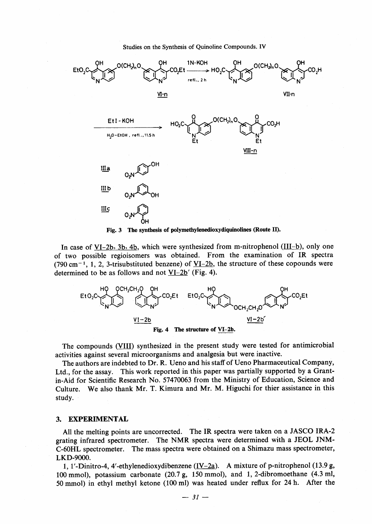Studies on the Synthesis of Ouinoline Compounds. IV



In case of  $VI-2b$ ,  $3b$ ,  $4b$ , which were synthesized from m-nitrophenol ( $III-b$ ), only one of two possible regioisomers was obtained. From the examination of IR spectra  $(790 \text{ cm}^{-1}, 1, 2, 3\text{-trisubstituted benzene})$  of  $\underline{VI-2b}$ , the structure of these copounds were

determined to be as follows and not  $VI-2b'$  (Fig. 4).



The compounds (VIII) synthesized in the present study were tested for antimicrobial activities against several microorganisms and analgesia but were inactive.

The authors are indebted to Dr. R. Ueno and his staff of Ueno Pharmaceutical Company, Ltd., for the assay. This work reported in this paper was partially supported by a Grantin-Aid for Scientific Research No. 57470063 from the Ministry of Education, Science and Culture. We also thank Mr. T. Kimura and Mr. M. Higuchi for thier assistance in this study.

#### **EXPERIMENTAL** 3.

All the melting points are uncorrected. The IR spectra were taken on a JASCO IRA-2 grating infrared spectrometer. The NMR spectra were determined with a JEOL JNM-C-60HL spectrometer. The mass spectra were obtained on a Shimazu mass spectrometer, LKD-9000.

1. 1'-Dinitro-4, 4'-ethylenedioxydibenzene (IV-2a). A mixture of p-nitrophenol (13.9 g, 100 mmol), potassium carbonate  $(20.7 g, 150 mmol)$ , and 1, 2-dibromoethane  $(4.3 ml,$ 50 mmol) in ethyl methyl ketone (100 ml) was heated under reflux for 24 h. After the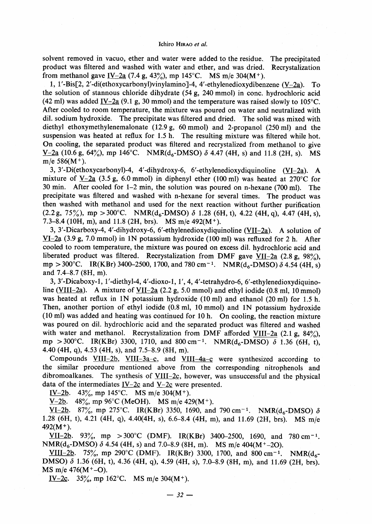#### Ichiro HiRAo et al.

solvent removed in vacuo, ether and water were added to the residue.. The precipitated product was filtered and washed with water and ether, and was dried. Recrystalization from methanol gave IV-2a (7.4 g, 43%), mp 145°C. MS m/e 304(M<sup>+</sup>).

 1, 1'-Bis[2, 2'-di(ethoxycarbonyl)vinylamino]-4, 4'-ethylenedioxydibenzene (V-2a). To the solution of stannous chloride dihydrate (54 g, 240 mmol) in conc. hydrochloric acid (42 ml) was added IV-2a (9.1 g, 30 mmol) and the temperature was raised slowly to 105 $^{\circ}$ C. After cooled to room temperature, the mixture was poured on water and neutralized with dil. sodium hydroxide. The precipitate was filtered and dried. The solid was mixed with diethyl ethoxymethylenemalonate (12.9g, 60mmol) and 2-propanol (250ml) and the suspension was heated at reflux for 1.5 h. The resulting mixture was filtered while hot. On cooling, the separated product was filtered and recrystalized from methanol to give  $V-2a$  (10.6 g, 64%), mp 146<sup>o</sup>C. NMR(d<sub>6</sub>-DMSO)  $\delta$  4.47 (4H, s) and 11.8 (2H, s). MS m/e  $586(M^+)$ .

 3,3'-Di(ethoxycarbonyl)-4, 4'-dihydroxy-6, 6'-ethylenedioxydiquinoline (VI-2a). A mixture of V-2a (3.5 g, 6.0 mmol) in diphenyl ether (100 ml) was heated at 270 °C for 30 min. After cooled for 1-2 min, the solution was poured on n-hexane (700 ml). The precipitate was filtered and washed with n-hexane for several times. The product was then washed with methanol and used for the next reaction without further purification  $(2.2 g, 75\%)$ , mp  $> 300^{\circ}$ C. NMR(d<sub>6</sub>-DMSO)  $\delta$  1.28 (6H, t), 4.22 (4H, q), 4.47 (4H, s), 7.3-8.4 (10H, m), and 11.8 (2H, brs). MS m/e 492(M').

 3, 3'-Dicarboxy-4, 4'-dihydroxy-6, 6'-ethylenedioxydiquinoline (VII-2a). A solution of VI-2a  $(3.9 \text{ g}, 7.0 \text{ mmol})$  in 1N potassium hydroxide  $(100 \text{ ml})$  was refluxed for 2 h. After cooled to room temperature, the mixture was poured on excess dil. hydrochloric acid and liberated product was filtered. Recrystalization from DMF gave VII-2a  $(2.8g, 98\%)$ , mp  $>$  300°C. IR(KBr) 3400-2500, 1700, and 780 cm<sup>-1</sup>. NMR(d<sub>6</sub>-DMSO)  $\delta$  4.54 (4H, s) and 7.4-8.7 (8H, m).

 3, 3'-Dicaboxy-1, 1'-diethyl-4, 4'-dioxo-1, 1', 4, 4'-tetrahydro-6, 6'-ethylenedioxydiquinoline (VIII-2a). A mixture of VII-2a  $(2.2 g, 5.0 mmol)$  and ethyl iodide  $(0.8 ml, 10 mmol)$ was heated at refiux in IN potassium hydroxide (10ml) and ethanol (20ml) for 1.5 h. Then, another portion of ethyl iodide (O.8ml, 10mmol) and IN potassium hydroxide (10 ml) was added and heating was continued for 10 h. On cooling, the reaction mixture was poured on dil. hydrochloric acid and the separated product was filtered and washed with water and methanol. Recrystalization from DMF afforded VIII-2a  $(2.1 g, 84\%)$ , mp > 300°C. IR(KBr) 3300, 1710, and 800 cm<sup>-1</sup>. NMR( $d_6$ -DMSO)  $\delta$  1.36 (6H, t), 4.40 (4H, q), 4.53 (4H, s), and 7.5-8.9 (8H, m).

Compounds  $VIII-2b$ ,  $VIII-3a-c$ , and  $VIII-4a-c$  were synthesized according to the similar procedure mentioned above from the corresponding nitrophenols and dibromoalkanes. The synthesis of  $VIII-2c$ , however, was unsuccessful and the physical data of the intermediates  $I $\sqrt{2c}$  and V $\sqrt{2c}$  were presented.$ </u>

IV-2b. 43%, mp 145°C. MS m/e 304(M<sup>+</sup>).

V-2b. 48%, mp 96°C (MeOH). MS m/e 429(M<sup>+</sup>).

<u>VI-2b</u>. 87%, mp 275°C. IR(KBr) 3350, 1690, and 790 cm<sup>-1</sup>. NMR( $d_6$ -DMSO)  $\delta$ 1.28 (6H, t), 4.21 (4H, q), 4.40(4H, s), 6.6-8.4 (4H, m), and 11.69 (2H, brs). MS m/e  $492(M^+).$ 

VII-2b. 93%, mp  $>300^{\circ}$ C (DMF). IR(KBr) 3400-2500, 1690, and 780 cm<sup>-1</sup>. NMR( $d_6$ -DMSO)  $\delta$  4.54 (4H, s) and 7.0–8.9 (8H, m). MS m/e 404(M<sup>+</sup>-2O).

VIII-2b. 75%, mp 290°C (DMF). IR(KBr) 3300, 1700, and 800 cm<sup>-1</sup>. NMR( $d_6$ -DMSO)  $\delta$  1.36 (6H, t), 4.36 (4H, q), 4.59 (4H, s), 7.0-8.9 (8H, m), and 11.69 (2H, brs). MS m/e  $476(M<sup>+</sup>-O)$ .

IV-2c. 35%, mp 162°C. MS m/e 304(M<sup>+</sup>).

 $-32-$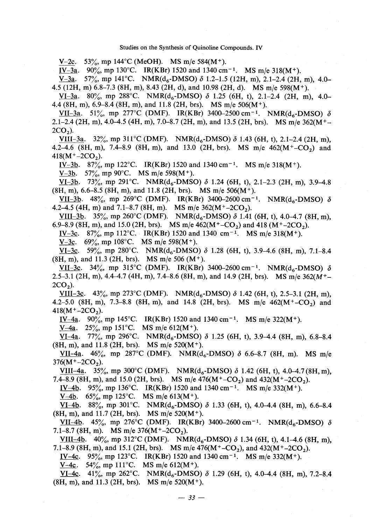#### Studies on the Synthesis of Quinoline Compounds. IV

V-2c. 53%, mp 144°C (MeOH). MS m/e 584(M<sup>+</sup>).

IV-3a. 90%, mp 130°C. IR(KBr) 1520 and 1340 cm<sup>-1</sup>. MS m/e 318(M<sup>+</sup>).

 $V-3a.$  57%, mp 141°C. NMR(d<sub>6</sub>-DMSO)  $\delta$  1.2–1.5 (12H, m), 2.1–2.4 (2H, m), 4.0– 4.5 (12H, m) 6.8–7.3 (8H, m), 8.43 (2H, d), and 10.98 (2H, d). MS m/e 598(M<sup>+</sup>).

VI-3a. 80%, mp 288°C. NMR(d<sub>6</sub>-DMSO)  $\delta$  1.25 (6H, t), 2.1-2.4 (2H, m), 4.0-4.4 (8H, m),  $6.9-8.4$  (8H, m), and 11.8 (2H, brs). MS m/e  $506(M<sup>+</sup>)$ .

VII-3a. 51%, mp 277°C (DMF). IR(KBr) 3400-2500 cm<sup>-1</sup>. NMR(d<sub>e</sub>-DMSO)  $\delta$ 2.1-2.4 (2H, m), 4.0-4.5 (4H, m), 7.0-8.7 (2H, m), and 13.5 (2H, brs). MS m/e  $362(M<sup>+</sup> 2CO<sub>2</sub>$ ).

VIII-3a. 32%, mp 311°C (DMF). NMR(d<sub>6</sub>-DMSO)  $\delta$  1.43 (6H, t), 2.1–2.4 (2H, m), 4.2-4.6 (8H, m), 7.4-8.9 (8H, m), and 13.0 (2H, brs). MS m/e  $462(M^{+}$ -CO<sub>2</sub>) and  $418(M<sup>+</sup>-2CO<sub>2</sub>)$ .

IV-3b. 87%, mp 122°C. IR(KBr) 1520 and 1340 cm<sup>-1</sup>. MS m/e 318(M<sup>+</sup>).

V-3b. 57%, mp 90°C. MS m/e 598(M<sup>+</sup>).

 $V1-3b.$  73%, mp 291°C. NMR(d<sub>6</sub>-DMSO)  $\delta$  1.24 (6H, t), 2.1–2.3 (2H, m), 3.9–4.8  $(8H, m)$ , 6.6–8.5 (8H, m), and 11.8 (2H, brs). MS m/e 506(M<sup>+</sup>).

VII-3b. 48%, mp 269°C (DMF). IR(KBr) 3400-2600 cm<sup>-1</sup>. NMR(d<sub>6</sub>-DMSO)  $\delta$ 4.2–4.5 (4H, m) and 7.1–8.7 (8H, m). MS m/e  $362(M<sup>+</sup>-2CO<sub>2</sub>)$ .

VIII-3b. 35%, mp 260°C (DMF). NMR(d<sub>6</sub>-DMSO)  $\delta$  1.41 (6H, t), 4.0-4.7 (8H, m), 6.9–8.9 (8H, m), and 15.0 (2H, brs). MS m/e  $462(M<sup>+</sup>-CO<sub>2</sub>)$  and 418 (M<sup>+</sup>-2CO<sub>2</sub>).

IV-3c. 87%, mp 112°C. IR(KBr) 1520 and 1340 cm<sup>-1</sup>. MS m/e 318(M<sup>+</sup>).

V-3c.  $69\%$ , mp 108°C. MS m/e 598(M<sup>+</sup>).

VI-3c. 59%, mp 280°C. NMR( $d_6$ -DMSO)  $\delta$  1.28 (6H, t), 3.9–4.6 (8H, m), 7.1–8.4  $(8H, m)$ , and 11.3 (2H, brs). MS m/e 506 (M<sup>+</sup>).

VII-3c. 34%, mp 315°C (DMF). IR(KBr) 3400-2600 cm<sup>-1</sup>. NMR(d<sub>6</sub>-DMSO)  $\delta$ 2.5-3.1 (2H, m), 4.4-4.7 (4H, m), 7.4-8.6 (8H, m), and 14.9 (2H, brs). MS m/e  $362(M<sup>+</sup> 2CO<sub>2</sub>$ ).

VIII-3c. 43%, mp 273 °C (DMF). NMR( $d_6$ -DMSO)  $\delta$  1.42 (6H, t), 2.5–3.1 (2H, m), 4.2–5.0 (8H, m), 7.3–8.8 (8H, m), and 14.8 (2H, brs). MS m/e  $462(M<sup>+</sup>-CO<sub>2</sub>)$  and  $418(M<sup>+</sup>-2CO<sub>2</sub>)$ .

IV-4a. 90%, mp 145°C. IR(KBr) 1520 and 1340 cm<sup>-1</sup>. MS m/e 322(M<sup>+</sup>).

V-4a. 25%, mp 151°C. MS m/e 612(M<sup>+</sup>).

VI-4a. 77%, mp 296°C. NMR( $d_6$ -DMSO)  $\delta$  1.25 (6H, t), 3.9-4.4 (8H, m), 6.8-8.4  $(8H, m)$ , and 11.8 (2H, brs). MS m/e 520(M<sup>+</sup>).

VII-4a. 46%, mp 287°C (DMF). NMR( $d_6$ -DMSO)  $\delta$  6.6-8.7 (8H, m). MS m/e  $376(M<sup>+</sup>-2CO<sub>2</sub>)$ .

VIII-4a. 35%, mp 300°C (DMF). NMR( $d_6$ -DMSO)  $\delta$  1.42 (6H, t), 4.0–4.7(8H, m), 7.4-8.9 (8H, m), and 15.0 (2H, brs). MS m/e  $476(M<sup>+</sup>-CO<sub>2</sub>)$  and  $432(M<sup>+</sup>-2CO<sub>2</sub>)$ .

IV-4b. 95%, mp 136°C. IR(KBr) 1520 and 1340 cm<sup>-1</sup>. MS m/e 332(M<sup>+</sup>).

V-4b. 65%, mp 125°C. MS m/e 613(M<sup>+</sup>).

<u>VI-4b</u>. 88%, mp 301°C. NMR(d<sub>6</sub>-DMSO)  $\delta$  1.33 (6H, t), 4.0–4.4 (8H, m), 6.6–8.4  $(8H, m)$ , and 11.7 (2H, brs). MS m/e 520(M<sup>+</sup>).

VII-4b. 45%, mp 276°C (DMF). IR(KBr) 3400-2600 cm<sup>-1</sup>. NMR(d<sub>e</sub>-DMSO)  $\delta$ 7.1-8.7 (8H, m). MS m/e  $376(M^+ - 2CO_2)$ .

VIII-4b. 40%, mp 312°C (DMF). NMR( $d_6$ -DMSO)  $\delta$  1.34 (6H, t), 4.1–4.6 (8H, m), 7.1-8.9 (8H, m), and 15.1 (2H, brs). MS m/e  $476(M<sup>+</sup>-CO<sub>2</sub>)$ , and  $432(M<sup>+</sup>-2CO<sub>2</sub>)$ .

IV-4c. 95%, mp 123°C. IR(KBr) 1520 and 1340 cm<sup>-1</sup>. MS m/e 332(M<sup>+</sup>).

 $V-4c$ . 54%, mp 111°C. MS m/e 612(M<sup>+</sup>).

<u>VI-4c</u>. 41%, mp 262°C. NMR( $d_6$ -DMSO)  $\delta$  1.29 (6H, t), 4.0–4.4 (8H, m), 7.2–8.4  $(8H, m)$ , and 11.3 (2H, brs). MS m/e 520(M<sup>+</sup>).